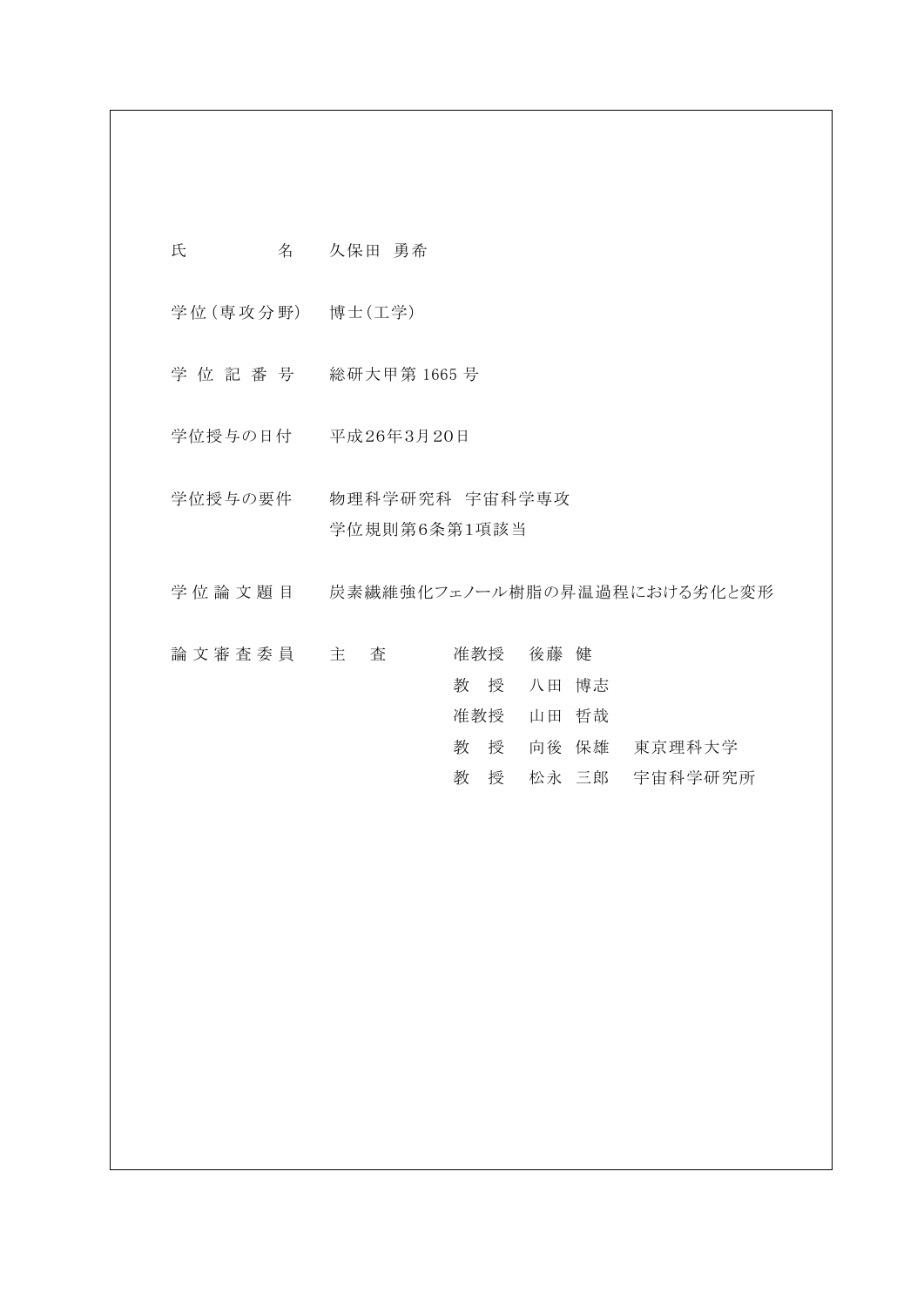| 氏               | 名 | 久保田 勇希                         |  |     |     |    |       |         |
|-----------------|---|--------------------------------|--|-----|-----|----|-------|---------|
| 学位(専攻分野) 博士(工学) |   |                                |  |     |     |    |       |         |
| 学位記番号           |   | 総研大甲第 1665 号                   |  |     |     |    |       |         |
|                 |   | 学位授与の日付 平成26年3月20日             |  |     |     |    |       |         |
| 学位授与の要件         |   | 物理科学研究科 宇宙科学専攻<br>学位規則第6条第1項該当 |  |     |     |    |       |         |
| 学位論文題目          |   | 炭素繊維強化フェノール樹脂の昇温過程における劣化と変形    |  |     |     |    |       |         |
| 論 文 審 査 委 員 主   |   | 査                              |  |     | 准教授 | 後藤 | 健     |         |
|                 |   |                                |  | 教   | 授   | 八田 | 博志    |         |
|                 |   |                                |  | 准教授 |     | 山田 | 哲哉    |         |
|                 |   |                                |  | 教   | 授   |    | 向後 保雄 | 東京理科大学  |
|                 |   |                                |  | 教   | 授   |    | 松永 三郎 | 宇宙科学研究所 |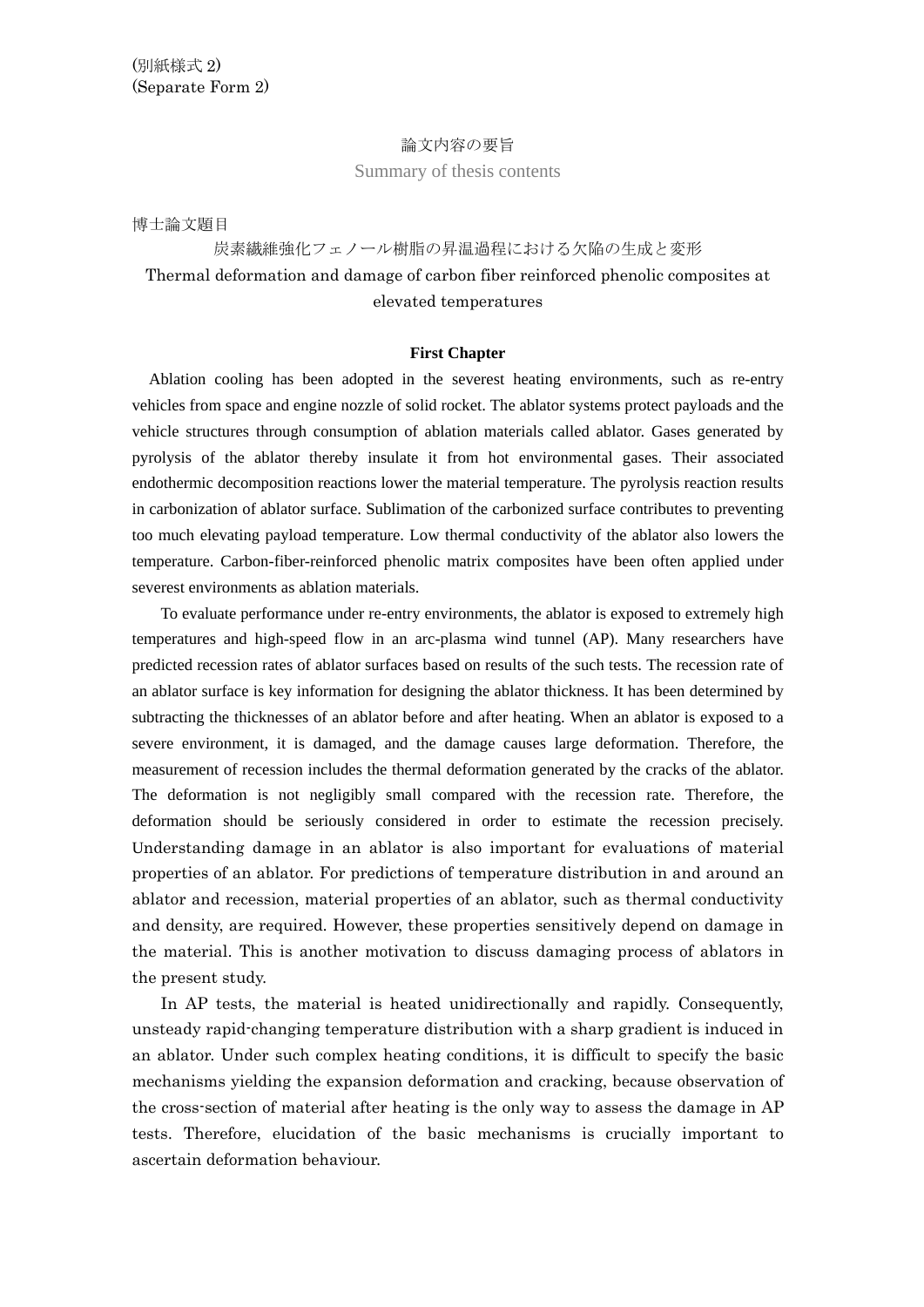## 論文内容の要旨

Summary of thesis contents

博士論文題目

# 炭素繊維強化フェノール樹脂の昇温過程における欠陥の生成と変形 Thermal deformation and damage of carbon fiber reinforced phenolic composites at elevated temperatures

#### **First Chapter**

Ablation cooling has been adopted in the severest heating environments, such as re-entry vehicles from space and engine nozzle of solid rocket. The ablator systems protect payloads and the vehicle structures through consumption of ablation materials called ablator. Gases generated by pyrolysis of the ablator thereby insulate it from hot environmental gases. Their associated endothermic decomposition reactions lower the material temperature. The pyrolysis reaction results in carbonization of ablator surface. Sublimation of the carbonized surface contributes to preventing too much elevating payload temperature. Low thermal conductivity of the ablator also lowers the temperature. Carbon-fiber-reinforced phenolic matrix composites have been often applied under severest environments as ablation materials.

To evaluate performance under re-entry environments, the ablator is exposed to extremely high temperatures and high-speed flow in an arc-plasma wind tunnel (AP). Many researchers have predicted recession rates of ablator surfaces based on results of the such tests. The recession rate of an ablator surface is key information for designing the ablator thickness. It has been determined by subtracting the thicknesses of an ablator before and after heating. When an ablator is exposed to a severe environment, it is damaged, and the damage causes large deformation. Therefore, the measurement of recession includes the thermal deformation generated by the cracks of the ablator. The deformation is not negligibly small compared with the recession rate. Therefore, the deformation should be seriously considered in order to estimate the recession precisely. Understanding damage in an ablator is also important for evaluations of material properties of an ablator. For predictions of temperature distribution in and around an ablator and recession, material properties of an ablator, such as thermal conductivity and density, are required. However, these properties sensitively depend on damage in the material. This is another motivation to discuss damaging process of ablators in the present study.

In AP tests, the material is heated unidirectionally and rapidly. Consequently, unsteady rapid-changing temperature distribution with a sharp gradient is induced in an ablator. Under such complex heating conditions, it is difficult to specify the basic mechanisms yielding the expansion deformation and cracking, because observation of the cross-section of material after heating is the only way to assess the damage in AP tests. Therefore, elucidation of the basic mechanisms is crucially important to ascertain deformation behaviour.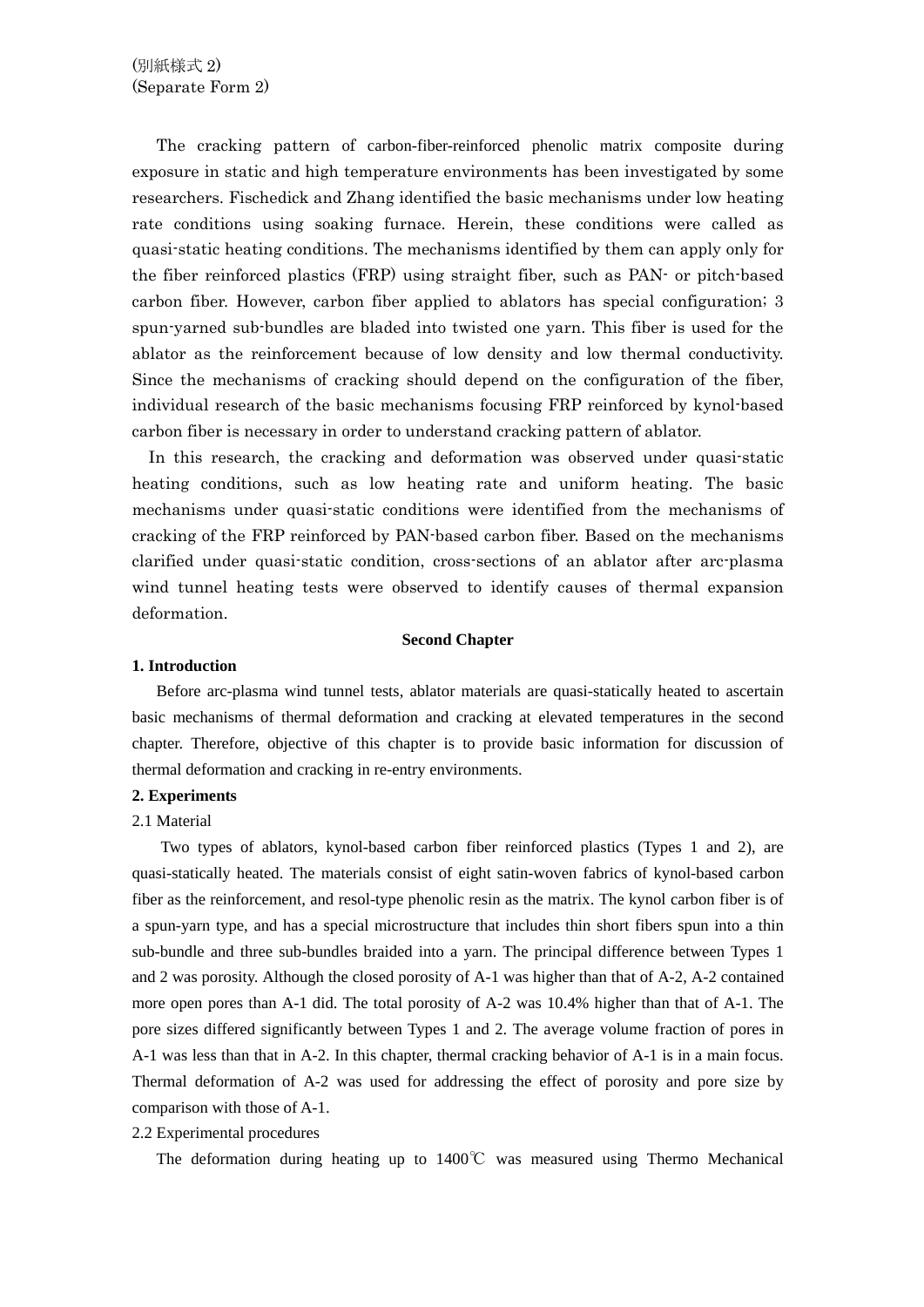The cracking pattern of carbon-fiber-reinforced phenolic matrix composite during exposure in static and high temperature environments has been investigated by some researchers. Fischedick and Zhang identified the basic mechanisms under low heating rate conditions using soaking furnace. Herein, these conditions were called as quasi-static heating conditions. The mechanisms identified by them can apply only for the fiber reinforced plastics (FRP) using straight fiber, such as PAN- or pitch-based carbon fiber. However, carbon fiber applied to ablators has special configuration; 3 spun-yarned sub-bundles are bladed into twisted one yarn. This fiber is used for the ablator as the reinforcement because of low density and low thermal conductivity. Since the mechanisms of cracking should depend on the configuration of the fiber, individual research of the basic mechanisms focusing FRP reinforced by kynol-based carbon fiber is necessary in order to understand cracking pattern of ablator.

In this research, the cracking and deformation was observed under quasi-static heating conditions, such as low heating rate and uniform heating. The basic mechanisms under quasi-static conditions were identified from the mechanisms of cracking of the FRP reinforced by PAN-based carbon fiber. Based on the mechanisms clarified under quasi-static condition, cross-sections of an ablator after arc-plasma wind tunnel heating tests were observed to identify causes of thermal expansion deformation.

#### **Second Chapter**

#### **1. Introduction**

 Before arc-plasma wind tunnel tests, ablator materials are quasi-statically heated to ascertain basic mechanisms of thermal deformation and cracking at elevated temperatures in the second chapter. Therefore, objective of this chapter is to provide basic information for discussion of thermal deformation and cracking in re-entry environments.

#### **2. Experiments**

#### 2.1 Material

Two types of ablators, kynol-based carbon fiber reinforced plastics (Types 1 and 2), are quasi-statically heated. The materials consist of eight satin-woven fabrics of kynol-based carbon fiber as the reinforcement, and resol-type phenolic resin as the matrix. The kynol carbon fiber is of a spun-yarn type, and has a special microstructure that includes thin short fibers spun into a thin sub-bundle and three sub-bundles braided into a yarn. The principal difference between Types 1 and 2 was porosity. Although the closed porosity of A-1 was higher than that of A-2, A-2 contained more open pores than A-1 did. The total porosity of A-2 was 10.4% higher than that of A-1. The pore sizes differed significantly between Types 1 and 2. The average volume fraction of pores in A-1 was less than that in A-2. In this chapter, thermal cracking behavior of A-1 is in a main focus. Thermal deformation of A-2 was used for addressing the effect of porosity and pore size by comparison with those of A-1.

# 2.2 Experimental procedures

The deformation during heating up to 1400℃ was measured using Thermo Mechanical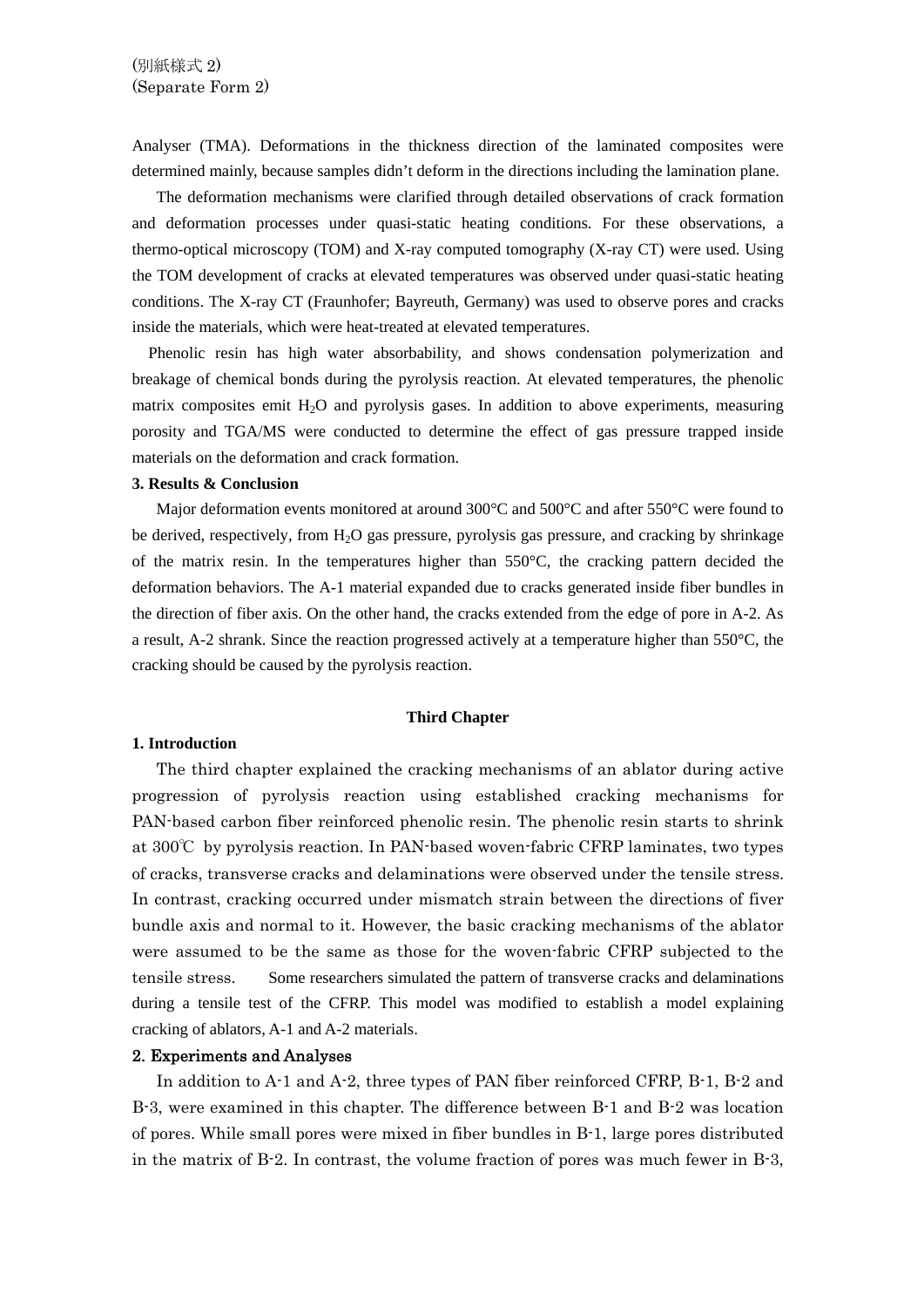Analyser (TMA). Deformations in the thickness direction of the laminated composites were determined mainly, because samples didn't deform in the directions including the lamination plane.

 The deformation mechanisms were clarified through detailed observations of crack formation and deformation processes under quasi-static heating conditions. For these observations, a thermo-optical microscopy (TOM) and X-ray computed tomography (X-ray CT) were used. Using the TOM development of cracks at elevated temperatures was observed under quasi-static heating conditions. The X-ray CT (Fraunhofer; Bayreuth, Germany) was used to observe pores and cracks inside the materials, which were heat-treated at elevated temperatures.

 Phenolic resin has high water absorbability, and shows condensation polymerization and breakage of chemical bonds during the pyrolysis reaction. At elevated temperatures, the phenolic matrix composites emit  $H_2O$  and pyrolysis gases. In addition to above experiments, measuring porosity and TGA/MS were conducted to determine the effect of gas pressure trapped inside materials on the deformation and crack formation.

#### **3. Results & Conclusion**

Major deformation events monitored at around  $300^{\circ}$ C and  $50^{\circ}$ C and after  $550^{\circ}$ C were found to be derived, respectively, from  $H_2O$  gas pressure, pyrolysis gas pressure, and cracking by shrinkage of the matrix resin. In the temperatures higher than 550°C, the cracking pattern decided the deformation behaviors. The A-1 material expanded due to cracks generated inside fiber bundles in the direction of fiber axis. On the other hand, the cracks extended from the edge of pore in A-2. As a result, A-2 shrank. Since the reaction progressed actively at a temperature higher than 550°C, the cracking should be caused by the pyrolysis reaction.

#### **Third Chapter**

#### **1. Introduction**

 The third chapter explained the cracking mechanisms of an ablator during active progression of pyrolysis reaction using established cracking mechanisms for PAN-based carbon fiber reinforced phenolic resin. The phenolic resin starts to shrink at 300℃ by pyrolysis reaction. In PAN-based woven-fabric CFRP laminates, two types of cracks, transverse cracks and delaminations were observed under the tensile stress. In contrast, cracking occurred under mismatch strain between the directions of fiver bundle axis and normal to it. However, the basic cracking mechanisms of the ablator were assumed to be the same as those for the woven-fabric CFRP subjected to the tensile stress. Some researchers simulated the pattern of transverse cracks and delaminations during a tensile test of the CFRP. This model was modified to establish a model explaining cracking of ablators, A-1 and A-2 materials.

#### 2. Experiments and Analyses

 In addition to A-1 and A-2, three types of PAN fiber reinforced CFRP, B-1, B-2 and B-3, were examined in this chapter. The difference between B-1 and B-2 was location of pores. While small pores were mixed in fiber bundles in B-1, large pores distributed in the matrix of B-2. In contrast, the volume fraction of pores was much fewer in B-3,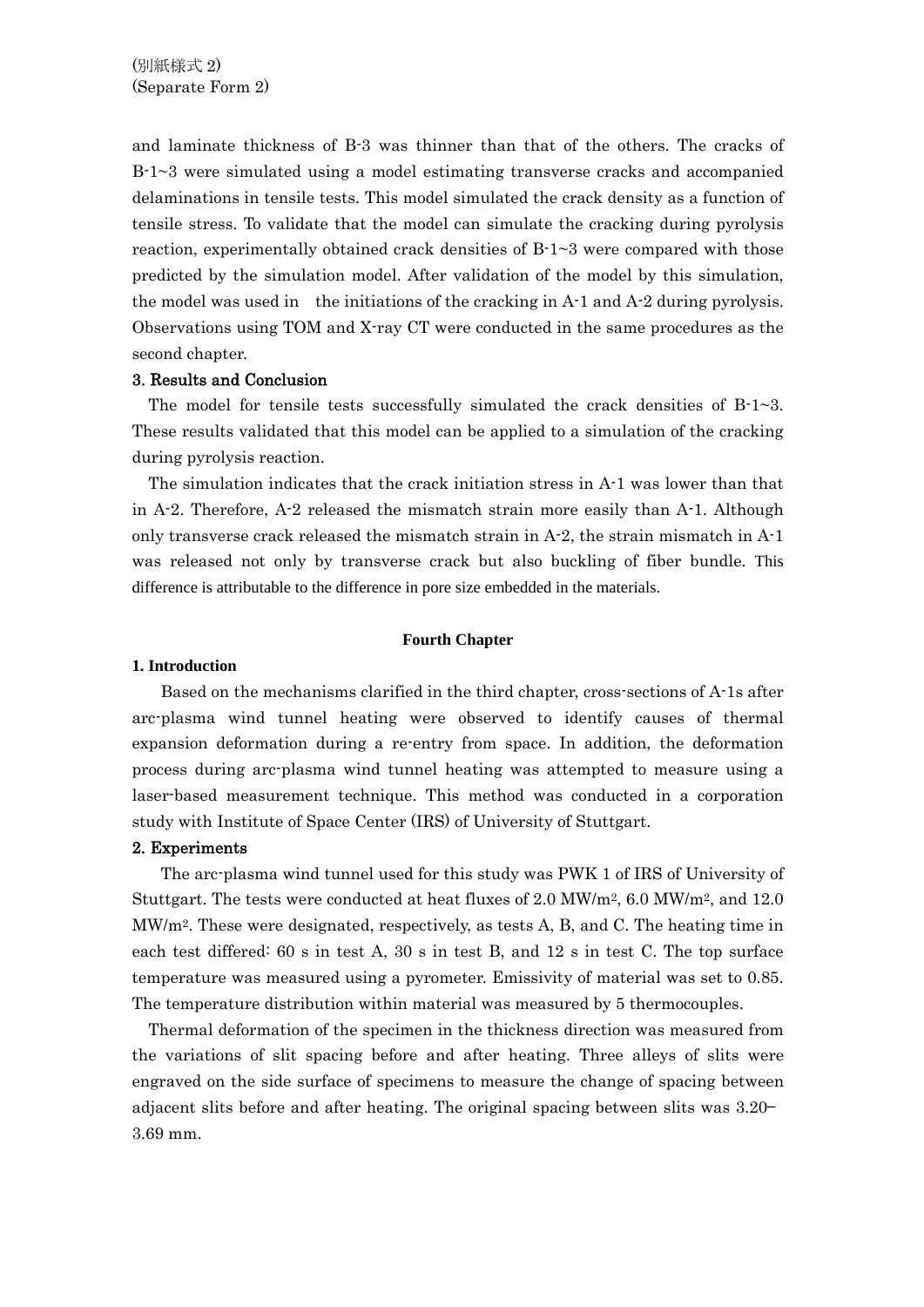and laminate thickness of B-3 was thinner than that of the others. The cracks of B-1~3 were simulated using a model estimating transverse cracks and accompanied delaminations in tensile tests. This model simulated the crack density as a function of tensile stress. To validate that the model can simulate the cracking during pyrolysis reaction, experimentally obtained crack densities of B-1~3 were compared with those predicted by the simulation model. After validation of the model by this simulation, the model was used in the initiations of the cracking in A-1 and A-2 during pyrolysis. Observations using TOM and X-ray CT were conducted in the same procedures as the second chapter.

### 3. Results and Conclusion

The model for tensile tests successfully simulated the crack densities of  $B-1\sim 3$ . These results validated that this model can be applied to a simulation of the cracking during pyrolysis reaction.

 The simulation indicates that the crack initiation stress in A-1 was lower than that in A-2. Therefore, A-2 released the mismatch strain more easily than A-1. Although only transverse crack released the mismatch strain in A-2, the strain mismatch in A-1 was released not only by transverse crack but also buckling of fiber bundle. This difference is attributable to the difference in pore size embedded in the materials.

#### **Fourth Chapter**

### **1. Introduction**

Based on the mechanisms clarified in the third chapter, cross-sections of A-1s after arc-plasma wind tunnel heating were observed to identify causes of thermal expansion deformation during a re-entry from space. In addition, the deformation process during arc-plasma wind tunnel heating was attempted to measure using a laser-based measurement technique. This method was conducted in a corporation study with Institute of Space Center (IRS) of University of Stuttgart.

#### 2. Experiments

The arc-plasma wind tunnel used for this study was PWK 1 of IRS of University of Stuttgart. The tests were conducted at heat fluxes of 2.0 MW/m2, 6.0 MW/m2, and 12.0 MW/m2. These were designated, respectively, as tests A, B, and C. The heating time in each test differed: 60 s in test A, 30 s in test B, and 12 s in test C. The top surface temperature was measured using a pyrometer. Emissivity of material was set to 0.85. The temperature distribution within material was measured by 5 thermocouples.

Thermal deformation of the specimen in the thickness direction was measured from the variations of slit spacing before and after heating. Three alleys of slits were engraved on the side surface of specimens to measure the change of spacing between adjacent slits before and after heating. The original spacing between slits was 3.20— 3.69 mm.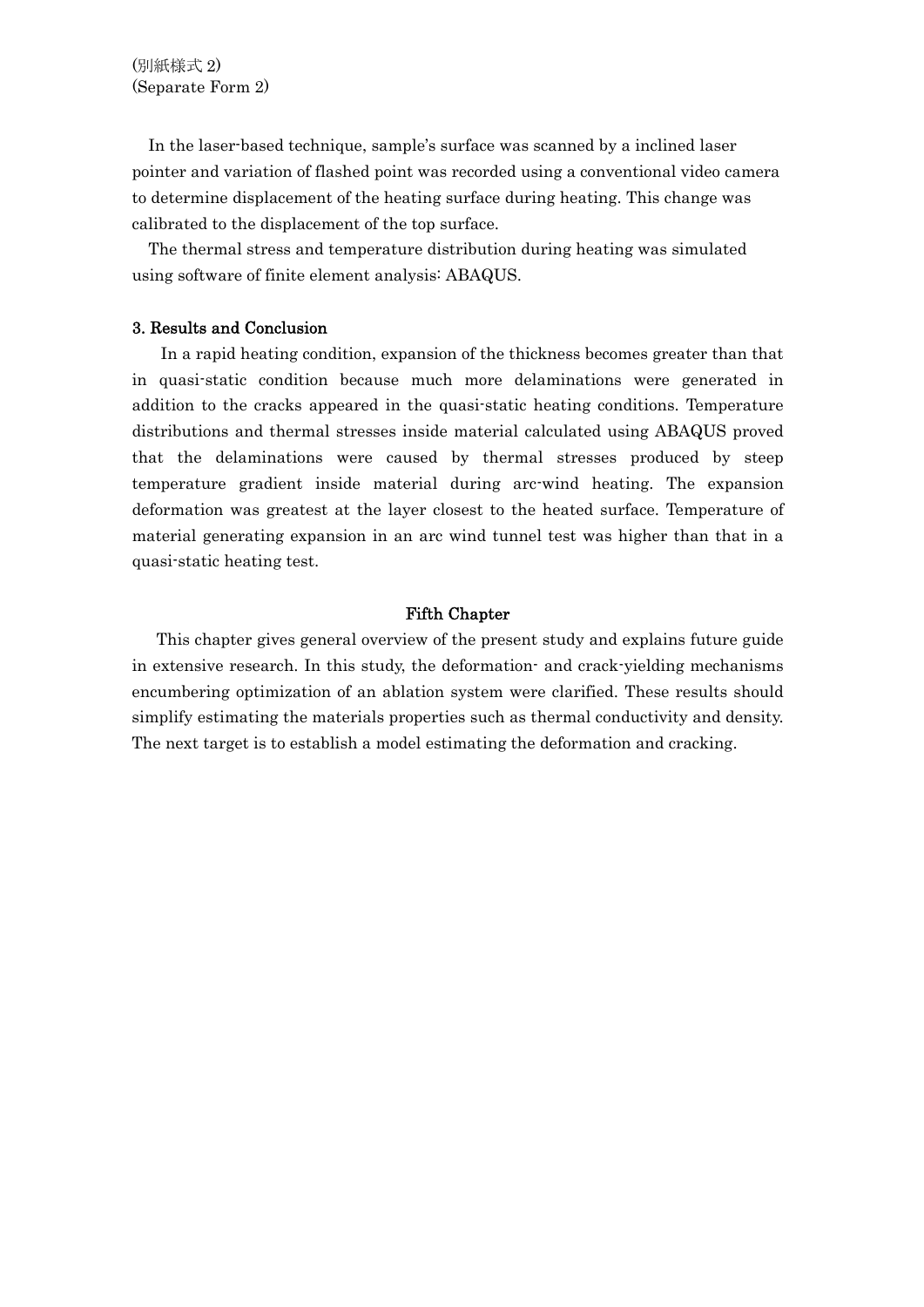In the laser-based technique, sample's surface was scanned by a inclined laser pointer and variation of flashed point was recorded using a conventional video camera to determine displacement of the heating surface during heating. This change was calibrated to the displacement of the top surface.

 The thermal stress and temperature distribution during heating was simulated using software of finite element analysis: ABAQUS.

## 3. Results and Conclusion

In a rapid heating condition, expansion of the thickness becomes greater than that in quasi-static condition because much more delaminations were generated in addition to the cracks appeared in the quasi-static heating conditions. Temperature distributions and thermal stresses inside material calculated using ABAQUS proved that the delaminations were caused by thermal stresses produced by steep temperature gradient inside material during arc-wind heating. The expansion deformation was greatest at the layer closest to the heated surface. Temperature of material generating expansion in an arc wind tunnel test was higher than that in a quasi-static heating test.

# Fifth Chapter

 This chapter gives general overview of the present study and explains future guide in extensive research. In this study, the deformation- and crack-yielding mechanisms encumbering optimization of an ablation system were clarified. These results should simplify estimating the materials properties such as thermal conductivity and density. The next target is to establish a model estimating the deformation and cracking.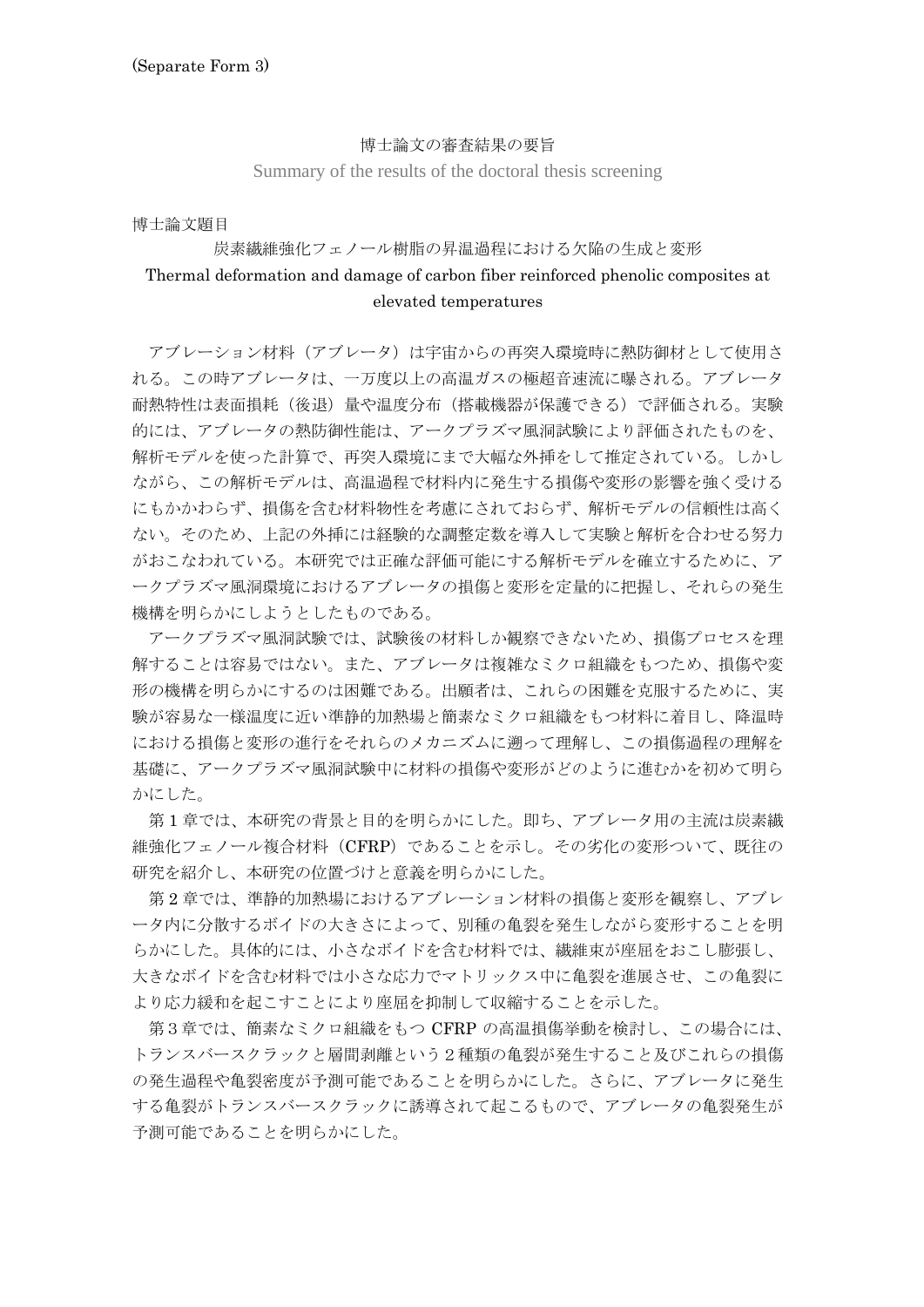### 博士論文の審査結果の要旨

Summary of the results of the doctoral thesis screening

博士論文題目

# 炭素繊維強化フェノール樹脂の昇温過程における欠陥の生成と変形 Thermal deformation and damage of carbon fiber reinforced phenolic composites at elevated temperatures

アブレーション材料(アブレータ)は宇宙からの再突入環境時に熱防御材として使用さ れる。この時アブレータは、一万度以上の高温ガスの極超音速流に曝される。アブレータ 耐熱特性は表面損耗(後退)量や温度分布(搭載機器が保護できる)で評価される。実験 的には、アブレータの熱防御性能は、アークプラズマ風洞試験により評価されたものを、 解析モデルを使った計算で、再突入環境にまで大幅な外挿をして推定されている。しかし ながら、この解析モデルは、高温過程で材料内に発生する損傷や変形の影響を強く受ける にもかかわらず、損傷を含む材料物性を考慮にされておらず、解析モデルの信頼性は高く ない。そのため、上記の外挿には経験的な調整定数を導入して実験と解析を合わせる努力 がおこなわれている。本研究では正確な評価可能にする解析モデルを確立するために、ア ークプラズマ風洞環境におけるアブレータの損傷と変形を定量的に把握し、それらの発生 機構を明らかにしようとしたものである。

 アークプラズマ風洞試験では、試験後の材料しか観察できないため、損傷プロセスを理 解することは容易ではない。また、アブレータは複雑なミクロ組織をもつため、損傷や変 形の機構を明らかにするのは困難である。出願者は、これらの困難を克服するために、実 験が容易な一様温度に近い準静的加熱場と簡素なミクロ組織をもつ材料に着目し、降温時 における損傷と変形の進行をそれらのメカニズムに遡って理解し、この損傷過程の理解を 基礎に、アークプラズマ風洞試験中に材料の損傷や変形がどのように進むかを初めて明ら かにした。

 第 1 章では、本研究の背景と目的を明らかにした。即ち、アブレータ用の主流は炭素繊 維強化フェノール複合材料(CFRP)であることを示し。その劣化の変形ついて、既往の 研究を紹介し、本研究の位置づけと意義を明らかにした。

 第 2 章では、準静的加熱場におけるアブレーション材料の損傷と変形を観察し、アブレ ータ内に分散するボイドの大きさによって、別種の亀裂を発生しながら変形することを明 らかにした。具体的には、小さなボイドを含む材料では、繊維束が座屈をおこし膨張し、 大きなボイドを含む材料では小さな応力でマトリックス中に亀裂を進展させ、この亀裂に より応力緩和を起こすことにより座屈を抑制して収縮することを示した。

 第3章では、簡素なミクロ組織をもつ CFRP の高温損傷挙動を検討し、この場合には、 トランスバースクラックと層間剥離という2種類の亀裂が発生すること及びこれらの損傷 の発生過程や亀裂密度が予測可能であることを明らかにした。さらに、アブレータに発生 する亀裂がトランスバースクラックに誘導されて起こるもので、アブレータの亀裂発生が 予測可能であることを明らかにした。